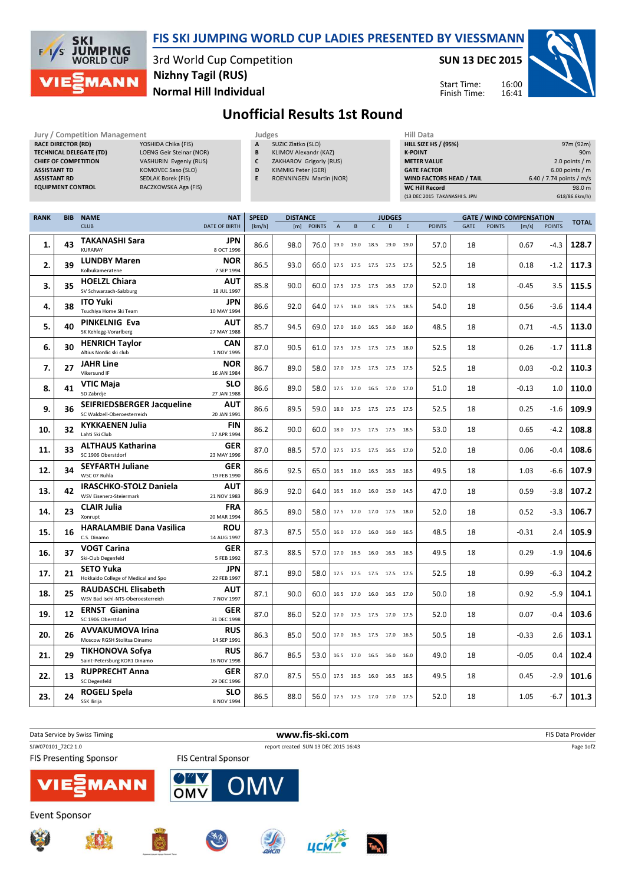

## FIS SKI JUMPING WORLD CUP LADIES PRESENTED BY VIESSMANN

3rd World Cup Competition Normal Hill Individual Nizhny Tagil (RUS)

SUN 13 DEC 2015

Start Time: Finish Time:



## Unofficial Results 1st Round

| <b>JULY / CONDENTION Management</b> |                                 |
|-------------------------------------|---------------------------------|
| <b>RACE DIRECTOR (RD)</b>           | YOSHIDA Chika (FIS)             |
| <b>TECHNICAL DELEGATE (TD)</b>      | <b>LOENG Geir Steinar (NOR)</b> |
| <b>CHIEF OF COMPETITION</b>         | VASHURIN Evgeniy (RUS)          |
| <b>ASSISTANT TD</b>                 | KOMOVEC Saso (SLO)              |
| <b>ASSISTANT RD</b>                 | <b>SEDLAK Borek (FIS)</b>       |
| <b>EQUIPMENT CONTROL</b>            | <b>BACZKOWSKA Aga (FIS)</b>     |

| <b>Jury / Competition Management</b> |                                 | Judges |           |
|--------------------------------------|---------------------------------|--------|-----------|
| <b>RACE DIRECTOR (RD)</b>            | YOSHIDA Chika (FIS)             | A      | SU        |
| <b>TECHNICAL DELEGATE (TD)</b>       | <b>LOENG Geir Steinar (NOR)</b> | B      | KLI       |
| <b>CHIEF OF COMPETITION</b>          | VASHURIN Evgeniy (RUS)          | C      | <b>ZA</b> |
| <b>ASSISTANT TD</b>                  | KOMOVEC Saso (SLO)              | D      | KIN       |
| <b>ASSISTANT RD</b>                  | <b>SEDLAK Borek (FIS)</b>       | E      | <b>RO</b> |
| <b>EQUIPMENT CONTROL</b>             | BACZKOWSKA Aga (FIS)            |        |           |
|                                      |                                 |        |           |

- .<br>SUZIC Zlatko (SLO) KLIMOV Alexandr (KAZ)
- ZAKHAROV Grigoriy (RUS)
- KIMMIG Peter (GER)
	- ROENNINGEN Martin (NOR)

| Hiii Data                       |                          |
|---------------------------------|--------------------------|
| <b>HILL SIZE HS / (95%)</b>     | 97m (92m)                |
| <b>K-POINT</b>                  | 90 <sub>m</sub>          |
| <b>METER VALUE</b>              | 2.0 points $/m$          |
| <b>GATE FACTOR</b>              | $6.00$ points / m        |
| <b>WIND FACTORS HEAD / TAIL</b> | 6.40 / 7.74 points / m/s |
| <b>WC Hill Record</b>           | 98.0 m                   |
| (13 DEC 2015 TAKANASHI S. JPN   | G18/86.6km/h)            |

16:00 16:41

| <b>RANK</b> | <b>BIB</b> | <b>NAME</b>                                              | <b>NAT</b>                | <b>SPEED</b> | <b>DISTANCE</b> |               |                |           |                              | <b>JUDGES</b> | <b>GATE / WIND COMPENSATION</b> |               |      |               |         |               |              |
|-------------|------------|----------------------------------------------------------|---------------------------|--------------|-----------------|---------------|----------------|-----------|------------------------------|---------------|---------------------------------|---------------|------|---------------|---------|---------------|--------------|
|             |            | <b>CLUB</b>                                              | <b>DATE OF BIRTH</b>      | [km/h]       | [m]             | <b>POINTS</b> | $\overline{A}$ | B         | $\overline{C}$               | D             | E                               | <b>POINTS</b> | GATE | <b>POINTS</b> | [m/s]   | <b>POINTS</b> | <b>TOTAL</b> |
|             |            | <b>TAKANASHI Sara</b>                                    | <b>JPN</b>                |              |                 |               |                |           |                              |               |                                 |               |      |               |         |               |              |
| 1.          | 43         | <b>KURARAY</b>                                           | 8 OCT 1996                | 86.6         | 98.0            | 76.0          | 19.0           | 19.0      | 18.5                         | 19.0          | 19.0                            | 57.0          | 18   |               | 0.67    | $-4.3$        | 128.7        |
| 2.          | 39         | <b>LUNDBY Maren</b>                                      | <b>NOR</b>                | 86.5         | 93.0            | 66.0          |                |           | 17.5 17.5 17.5 17.5          |               | 17.5                            | 52.5          | 18   |               | 0.18    | $-1.2$        | 117.3        |
|             |            | Kolbukameratene                                          | 7 SEP 1994                |              |                 |               |                |           |                              |               |                                 |               |      |               |         |               |              |
| 3.          | 35         | <b>HOELZL Chiara</b>                                     | <b>AUT</b>                | 85.8         | 90.0            | 60.0          |                |           | 17.5 17.5 17.5 16.5 17.0     |               |                                 | 52.0          | 18   |               | $-0.45$ | 3.5           | 115.5        |
|             |            | SV Schwarzach-Salzburg                                   | 18 JUL 1997               |              |                 |               |                |           |                              |               |                                 |               |      |               |         |               |              |
| 4.          | 38         | <b>ITO Yuki</b>                                          | <b>JPN</b>                | 86.6         | 92.0            | 64.0          |                |           | 17.5  18.0  18.5  17.5  18.5 |               |                                 | 54.0          | 18   |               | 0.56    | $-3.6$        | 114.4        |
|             |            | Tsuchiya Home Ski Team                                   | 10 MAY 1994               |              |                 |               |                |           |                              |               |                                 |               |      |               |         |               |              |
| 5.          | 40         | <b>PINKELNIG Eva</b>                                     | <b>AUT</b>                | 85.7         | 94.5            | 69.0          |                |           | 17.0  16.0  16.5  16.0  16.0 |               |                                 | 48.5          | 18   |               | 0.71    | $-4.5$        | 113.0        |
|             |            | SK Kehlegg-Vorarlberg                                    | 27 MAY 1988               |              |                 |               |                |           |                              |               |                                 |               |      |               |         |               |              |
| 6.          | 30         | <b>HENRICH Taylor</b><br>Altius Nordic ski club          | <b>CAN</b><br>1 NOV 1995  | 87.0         | 90.5            | 61.0          |                |           | 17.5 17.5 17.5 17.5 18.0     |               |                                 | 52.5          | 18   |               | 0.26    | $-1.7$        | 111.8        |
|             |            | <b>JAHR Line</b>                                         | <b>NOR</b>                |              |                 |               |                |           |                              |               |                                 |               |      |               |         |               |              |
| 7.          | 27         | Vikersund IF                                             | 16 JAN 1984               | 86.7         | 89.0            | 58.0          |                |           | 17.0 17.5 17.5 17.5 17.5     |               |                                 | 52.5          | 18   |               | 0.03    | $-0.2$        | 110.3        |
|             |            | <b>VTIC Maja</b>                                         | <b>SLO</b>                |              |                 |               |                |           |                              |               |                                 |               |      |               |         |               |              |
| 8.          | 41         | SD Zabrdje                                               | 27 JAN 1988               | 86.6         | 89.0            | 58.0          |                |           | 17.5 17.0 16.5 17.0 17.0     |               |                                 | 51.0          | 18   |               | $-0.13$ | 1.0           | 110.0        |
|             |            | SEIFRIEDSBERGER Jacqueline                               | <b>AUT</b>                |              |                 |               |                |           |                              |               |                                 |               |      |               |         |               |              |
| 9.          | 36         | SC Waldzell-Oberoesterreich                              | 20 JAN 1991               | 86.6         | 89.5            | 59.0          |                | 18.0 17.5 | 17.5 17.5 17.5               |               |                                 | 52.5          | 18   |               | 0.25    | $-1.6$        | 109.9        |
| 10.         | 32         | <b>KYKKAENEN Julia</b>                                   | <b>FIN</b>                | 86.2         | 90.0            | 60.0          |                | 18.0 17.5 | 17.5 17.5                    |               | 18.5                            | 53.0          | 18   |               | 0.65    | $-4.2$        | 108.8        |
|             |            | Lahti Ski Club                                           | 17 APR 1994               |              |                 |               |                |           |                              |               |                                 |               |      |               |         |               |              |
| 11.         | 33         | <b>ALTHAUS Katharina</b>                                 | <b>GER</b>                | 87.0         | 88.5            | 57.0          | 17.5           | 17.5      | 17.5 16.5                    |               | 17.0                            | 52.0          | 18   |               | 0.06    | $-0.4$        | 108.6        |
|             |            | SC 1906 Oberstdorf                                       | 23 MAY 1996               |              |                 |               |                |           |                              |               |                                 |               |      |               |         |               |              |
| 12.         | 34         | <b>SEYFARTH Juliane</b>                                  | GER                       | 86.6         | 92.5            | 65.0          |                |           | 16.5 18.0 16.5 16.5 16.5     |               |                                 | 49.5          | 18   |               | 1.03    | -6.6          | 107.9        |
|             |            | WSC 07 Ruhla                                             | 19 FEB 1990               |              |                 |               |                |           |                              |               |                                 |               |      |               |         |               |              |
| 13.         | 42         | <b>IRASCHKO-STOLZ Daniela</b><br>WSV Eisenerz-Steiermark | <b>AUT</b><br>21 NOV 1983 | 86.9         | 92.0            | 64.0          |                | 16.5 16.0 | 16.0 15.0                    |               | 14.5                            | 47.0          | 18   |               | 0.59    | -3.8          | 107.2        |
|             |            | <b>CLAIR Julia</b>                                       | FRA                       |              |                 |               |                |           |                              |               |                                 |               |      |               |         |               |              |
| 14.         | 23         | Xonrupt                                                  | 20 MAR 1994               | 86.5         | 89.0            | 58.0          |                | 17.5 17.0 | 17.0 17.5 18.0               |               |                                 | 52.0          | 18   |               | 0.52    | -3.3          | 106.7        |
|             |            | <b>HARALAMBIE Dana Vasilica</b>                          | ROU                       |              |                 |               |                |           |                              |               |                                 |               |      |               |         |               |              |
| 15.         | 16         | C.S. Dinamo                                              | 14 AUG 1997               | 87.3         | 87.5            | 55.0          |                |           | 16.0 17.0 16.0 16.0 16.5     |               |                                 | 48.5          | 18   |               | $-0.31$ | 2.4           | 105.9        |
|             |            | <b>VOGT Carina</b>                                       | <b>GER</b>                |              |                 |               |                |           |                              |               |                                 |               |      |               |         |               |              |
| 16.         | 37         | Ski-Club Degenfeld                                       | 5 FEB 1992                | 87.3         | 88.5            | 57.0          |                |           | 17.0 16.5 16.0 16.5 16.5     |               |                                 | 49.5          | 18   |               | 0.29    | $-1.9$        | 104.6        |
| 17.         | 21         | <b>SETO Yuka</b>                                         | <b>JPN</b>                | 87.1         | 89.0            | 58.0          |                |           | 17.5 17.5 17.5 17.5 17.5     |               |                                 | 52.5          | 18   |               | 0.99    | $-6.3$        | 104.2        |
|             |            | Hokkaido College of Medical and Spo                      | 22 FEB 1997               |              |                 |               |                |           |                              |               |                                 |               |      |               |         |               |              |
| 18.         | 25         | <b>RAUDASCHL Elisabeth</b>                               | AUT                       | 87.1         | 90.0            | 60.0          |                |           | 16.5 17.0 16.0 16.5 17.0     |               |                                 | 50.0          | 18   |               | 0.92    | $-5.9$        | 104.1        |
|             |            | WSV Bad Ischl-NTS-Oberoesterreich                        | 7 NOV 1997                |              |                 |               |                |           |                              |               |                                 |               |      |               |         |               |              |
| 19.         | 12         | <b>ERNST Gianina</b>                                     | <b>GER</b>                | 87.0         | 86.0            | 52.0          |                |           | 17.0 17.5 17.5 17.0 17.5     |               |                                 | 52.0          | 18   |               | 0.07    | $-0.4$        | 103.6        |
|             |            | SC 1906 Oberstdorf                                       | 31 DEC 1998               |              |                 |               |                |           |                              |               |                                 |               |      |               |         |               |              |
| 20.         | 26         | <b>AVVAKUMOVA Irina</b><br>Moscow RGSH Stolitsa Dinamo   | <b>RUS</b><br>14 SEP 1991 | 86.3         | 85.0            | 50.0          | 17.0           | 16.5      | 17.5 17.0                    |               | 16.5                            | 50.5          | 18   |               | $-0.33$ | 2.6           | 103.1        |
|             |            |                                                          |                           |              |                 |               |                |           |                              |               |                                 |               |      |               |         |               |              |
| 21.         | 29         | <b>TIKHONOVA Sofya</b><br>Saint-Petersburg KOR1 Dinamo   | <b>RUS</b><br>16 NOV 1998 | 86.7         | 86.5            | 53.0          |                | 16.5 17.0 | 16.5 16.0                    |               | 16.0                            | 49.0          | 18   |               | $-0.05$ | 0.4           | 102.4        |
|             |            | <b>RUPPRECHT Anna</b>                                    | <b>GER</b>                |              |                 |               |                |           |                              |               |                                 |               |      |               |         |               |              |
| 22.         | 13         | <b>SC Degenfeld</b>                                      | 29 DEC 1996               | 87.0         | 87.5            | 55.0          | 17.5           | 16.5      | 16.0 16.5                    |               | 16.5                            | 49.5          | 18   |               | 0.45    | $-2.9$        | 101.6        |
|             |            | ROGELJ Spela                                             | <b>SLO</b>                |              |                 |               |                |           |                              |               |                                 |               |      |               |         |               |              |
| 23.         | 24         | SSK Ilirija                                              | 8 NOV 1994                | 86.5         | 88.0            | 56.0          |                |           | 17.5 17.5 17.0 17.0 17.5     |               |                                 | 52.0          | 18   |               | 1.05    | -6.7          | 101.3        |
|             |            |                                                          |                           |              |                 |               |                |           |                              |               |                                 |               |      |               |         |               |              |